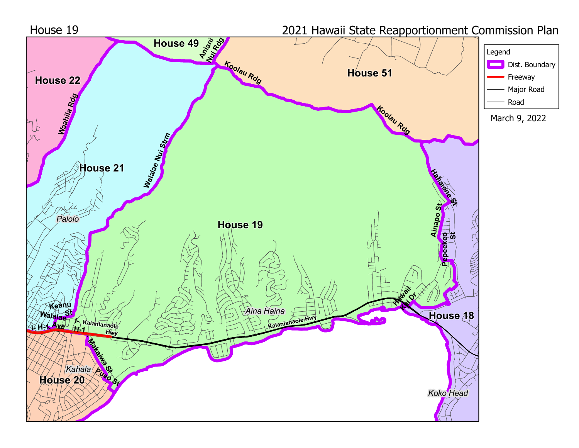